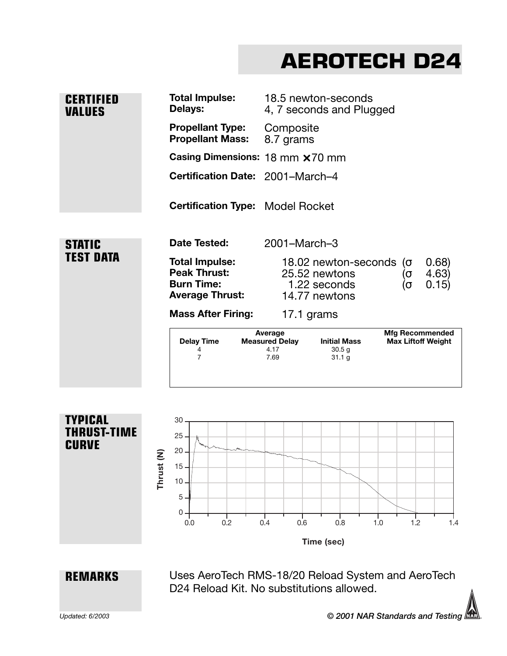## **AEROTECH D24**

| <b>CERTIFIED</b><br><b>VALUES</b> | <b>Total Impulse:</b><br>Delays:                                                            | 18.5 newton-seconds<br>4, 7 seconds and Plugged                                                        |                                                     |
|-----------------------------------|---------------------------------------------------------------------------------------------|--------------------------------------------------------------------------------------------------------|-----------------------------------------------------|
|                                   | <b>Propellant Type:</b><br><b>Propellant Mass:</b>                                          | Composite<br>8.7 grams                                                                                 |                                                     |
|                                   | Casing Dimensions: 18 mm x 70 mm                                                            |                                                                                                        |                                                     |
|                                   | Certification Date: 2001-March-4                                                            |                                                                                                        |                                                     |
|                                   | <b>Certification Type: Model Rocket</b>                                                     |                                                                                                        |                                                     |
| <b>STATIC</b><br><b>TEST DATA</b> | Date Tested:                                                                                | 2001-March-3                                                                                           |                                                     |
|                                   | <b>Total Impulse:</b><br><b>Peak Thrust:</b><br><b>Burn Time:</b><br><b>Average Thrust:</b> | 18.02 newton-seconds<br>25.52 newtons<br>1.22 seconds<br>14.77 newtons                                 | 0.68<br>$(\sigma$<br>4.63)<br>(၀<br>0.15)<br>(σ     |
|                                   | <b>Mass After Firing:</b>                                                                   | 17.1 grams                                                                                             |                                                     |
|                                   | <b>Delay Time</b><br>4<br>$\overline{7}$                                                    | Average<br><b>Initial Mass</b><br><b>Measured Delay</b><br>4.17<br>30.5 <sub>g</sub><br>7.69<br>31.1 g | <b>Mfg Recommended</b><br><b>Max Liftoff Weight</b> |
|                                   |                                                                                             |                                                                                                        |                                                     |



**REMARKS**

Uses AeroTech RMS-18/20 Reload System and AeroTech D24 Reload Kit. No substitutions allowed.